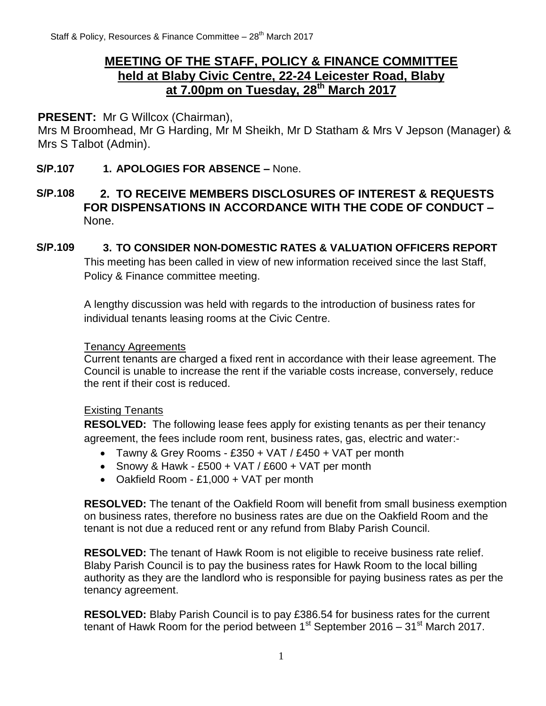## **MEETING OF THE STAFF, POLICY & FINANCE COMMITTEE held at Blaby Civic Centre, 22-24 Leicester Road, Blaby at 7.00pm on Tuesday, 28 th March 2017**

## **PRESENT:** Mr G Willcox (Chairman),

Mrs M Broomhead, Mr G Harding, Mr M Sheikh, Mr D Statham & Mrs V Jepson (Manager) & Mrs S Talbot (Admin).

### **S/P.107 1. APOLOGIES FOR ABSENCE –** None.

## **S/P.108 2. TO RECEIVE MEMBERS DISCLOSURES OF INTEREST & REQUESTS FOR DISPENSATIONS IN ACCORDANCE WITH THE CODE OF CONDUCT –** None.

### **S/P.109 3. TO CONSIDER NON-DOMESTIC RATES & VALUATION OFFICERS REPORT** This meeting has been called in view of new information received since the last Staff, Policy & Finance committee meeting.

A lengthy discussion was held with regards to the introduction of business rates for individual tenants leasing rooms at the Civic Centre.

#### Tenancy Agreements

Current tenants are charged a fixed rent in accordance with their lease agreement. The Council is unable to increase the rent if the variable costs increase, conversely, reduce the rent if their cost is reduced.

## Existing Tenants

**RESOLVED:** The following lease fees apply for existing tenants as per their tenancy agreement, the fees include room rent, business rates, gas, electric and water:-

- Tawny & Grey Rooms £350 + VAT / £450 + VAT per month
- Snowy & Hawk £500 + VAT /  $£600 + VAT$  per month
- Oakfield Room £1,000 + VAT per month

**RESOLVED:** The tenant of the Oakfield Room will benefit from small business exemption on business rates, therefore no business rates are due on the Oakfield Room and the tenant is not due a reduced rent or any refund from Blaby Parish Council.

**RESOLVED:** The tenant of Hawk Room is not eligible to receive business rate relief. Blaby Parish Council is to pay the business rates for Hawk Room to the local billing authority as they are the landlord who is responsible for paying business rates as per the tenancy agreement.

**RESOLVED:** Blaby Parish Council is to pay £386.54 for business rates for the current tenant of Hawk Room for the period between  $1<sup>st</sup>$  September 2016 – 31 $<sup>st</sup>$  March 2017.</sup>